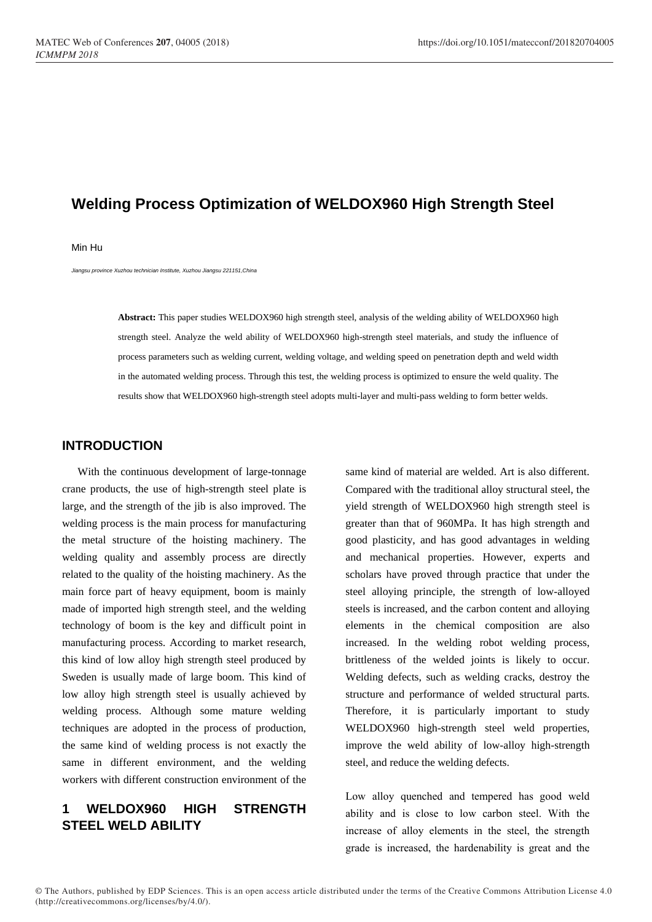# **Welding Process Optimization of WELDOX960 High Strength Steel**

#### Min Hu

*Jiangsu province Xuzhou technician Institute, Xuzhou Jiangsu 221151,China*

**Abstract:** This paper studies WELDOX960 high strength steel, analysis of the welding ability of WELDOX960 high strength steel. Analyze the weld ability of WELDOX960 high-strength steel materials, and study the influence of process parameters such as welding current, welding voltage, and welding speed on penetration depth and weld width in the automated welding process. Through this test, the welding process is optimized to ensure the weld quality. The results show that WELDOX960 high-strength steel adopts multi-layer and multi-pass welding to form better welds.

### **INTRODUCTION**

With the continuous development of large-tonnage crane products, the use of high-strength steel plate is large, and the strength of the jib is also improved. The welding process is the main process for manufacturing the metal structure of the hoisting machinery. The welding quality and assembly process are directly related to the quality of the hoisting machinery. As the main force part of heavy equipment, boom is mainly made of imported high strength steel, and the welding technology of boom is the key and difficult point in manufacturing process. According to market research, this kind of low alloy high strength steel produced by Sweden is usually made of large boom. This kind of low alloy high strength steel is usually achieved by welding process. Although some mature welding techniques are adopted in the process of production, the same kind of welding process is not exactly the same in different environment, and the welding workers with different construction environment of the

## **1 WELDOX960 HIGH STRENGTH STEEL WELD ABILITY**

same kind of material are welded. Art is also different. Compared with the traditional alloy structural steel, the yield strength of WELDOX960 high strength steel is greater than that of 960MPa. It has high strength and good plasticity, and has good advantages in welding and mechanical properties. However, experts and scholars have proved through practice that under the steel alloying principle, the strength of low-alloyed steels is increased, and the carbon content and alloying elements in the chemical composition are also increased. In the welding robot welding process, brittleness of the welded joints is likely to occur. Welding defects, such as welding cracks, destroy the structure and performance of welded structural parts. Therefore, it is particularly important to study WELDOX960 high-strength steel weld properties, improve the weld ability of low-alloy high-strength steel, and reduce the welding defects.

Low alloy quenched and tempered has good weld ability and is close to low carbon steel. With the increase of alloy elements in the steel, the strength grade is increased, the hardenability is great and the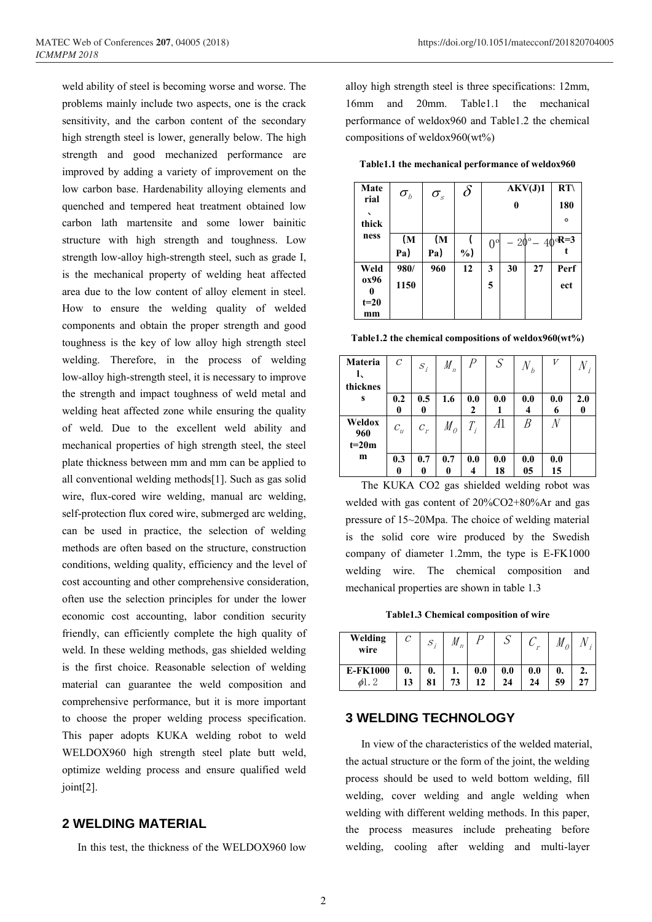weld ability of steel is becoming worse and worse. The problems mainly include two aspects, one is the crack sensitivity, and the carbon content of the secondary high strength steel is lower, generally below. The high strength and good mechanized performance are improved by adding a variety of improvement on the low carbon base. Hardenability alloying elements and quenched and tempered heat treatment obtained low carbon lath martensite and some lower bainitic structure with high strength and toughness. Low strength low-alloy high-strength steel, such as grade I, is the mechanical property of welding heat affected area due to the low content of alloy element in steel. How to ensure the welding quality of welded components and obtain the proper strength and good toughness is the key of low alloy high strength steel welding. Therefore, in the process of welding low-alloy high-strength steel, it is necessary to improve the strength and impact toughness of weld metal and welding heat affected zone while ensuring the quality of weld. Due to the excellent weld ability and mechanical properties of high strength steel, the steel plate thickness between mm and mm can be applied to all conventional welding methods[1]. Such as gas solid wire, flux-cored wire welding, manual arc welding, self-protection flux cored wire, submerged arc welding, can be used in practice, the selection of welding methods are often based on the structure, construction conditions, welding quality, efficiency and the level of cost accounting and other comprehensive consideration, often use the selection principles for under the lower economic cost accounting, labor condition security friendly, can efficiently complete the high quality of weld. In these welding methods, gas shielded welding is the first choice. Reasonable selection of welding material can guarantee the weld composition and comprehensive performance, but it is more important to choose the proper welding process specification. This paper adopts KUKA welding robot to weld WELDOX960 high strength steel plate butt weld, optimize welding process and ensure qualified weld joint[2].

#### **2 WELDING MATERIAL**

In this test, the thickness of the WELDOX960 low

alloy high strength steel is three specifications: 12mm, 16mm and 20mm. Table1.1 the mechanical performance of weldox960 and Table1.2 the chemical compositions of weldox960(wt%)

**Table1.1 the mechanical performance of weldox960**

| Mate   | $\sigma_{\scriptscriptstyle b}$ | $\sigma_{\!{}_s}$ | $\delta$ | AKV(J)1     |    | RT                              |         |
|--------|---------------------------------|-------------------|----------|-------------|----|---------------------------------|---------|
| rial   |                                 |                   |          | 0           |    |                                 | 180     |
| thick  |                                 |                   |          |             |    |                                 | $\circ$ |
| ness   | (M                              | (M                |          | $0^{\circ}$ |    | $-20^{\circ} - 40^{\circ}R = 3$ |         |
|        | Pa)                             | Pa)               | $\%$     |             |    |                                 |         |
| Weld   | 980/                            | 960               | 12       | 3           | 30 | 27                              | Perf    |
| ox96   | 1150                            |                   |          | 5           |    |                                 | ect     |
| $t=20$ |                                 |                   |          |             |    |                                 |         |
| mm     |                                 |                   |          |             |    |                                 |         |

**Table1.2 the chemical compositions of weldox960(wt%)**

| <b>Materia</b><br>I,<br>thicknes | $\mathcal C$ | $S_i$    | $M_{n}$            | $\overline{P}$     | S         | $N_{b}$   |           |     |
|----------------------------------|--------------|----------|--------------------|--------------------|-----------|-----------|-----------|-----|
| S                                | 0.2<br>0     | 0.5<br>0 | 1.6                | 0.0<br>2           | 0.0       | 0.0       | 0.0<br>6  | 2.0 |
| Weldox<br>960<br>$t=20m$         | $c_{\rm u}$  | $c_r$    | $M_{\overline{O}}$ | $T_{\overline{i}}$ | A1        |           |           |     |
| m                                | 0.3<br>0     | 0.7<br>0 | 0.7<br>0           | 0.0                | 0.0<br>18 | 0.0<br>05 | 0.0<br>15 |     |

The KUKA CO2 gas shielded welding robot was welded with gas content of 20%CO2+80%Ar and gas pressure of 15~20Mpa. The choice of welding material is the solid core wire produced by the Swedish company of diameter 1.2mm, the type is E-FK1000 welding wire. The chemical composition and mechanical properties are shown in table 1.3

**Table1.3 Chemical composition of wire**

| Welding<br>wire |          | د،       | M<br>$\eta$ |           |           |               |          |  |
|-----------------|----------|----------|-------------|-----------|-----------|---------------|----------|--|
| <b>E-FK1000</b> | 0.<br>13 | 0.<br>81 | ı.<br>73    | 0.0<br>12 | 0.0<br>24 | $0.0\,$<br>24 | 0.<br>59 |  |

### **3 WELDING TECHNOLOGY**

In view of the characteristics of the welded material, the actual structure or the form of the joint, the welding process should be used to weld bottom welding, fill welding, cover welding and angle welding when welding with different welding methods. In this paper, the process measures include preheating before welding, cooling after welding and multi-layer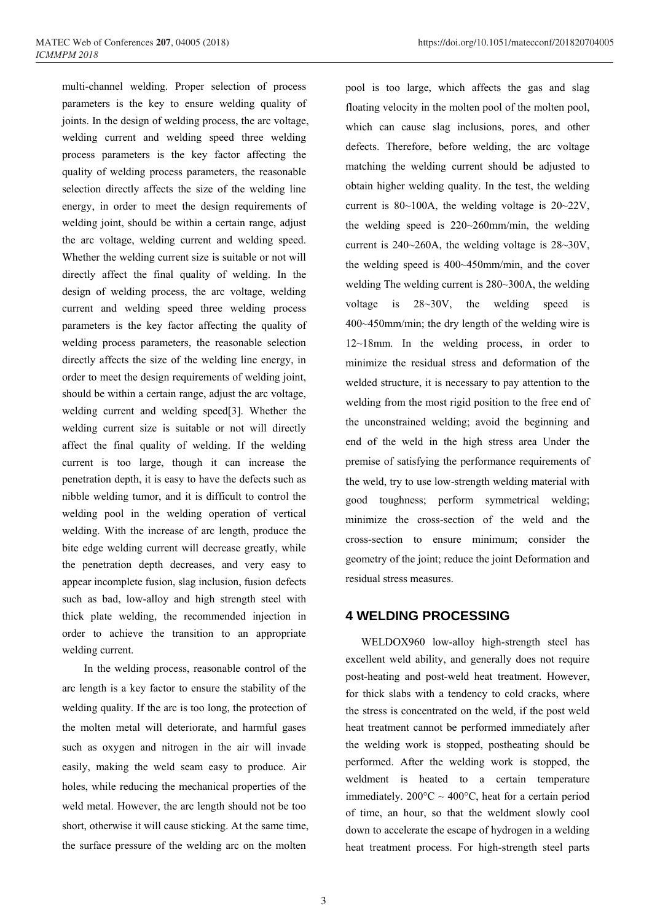multi-channel welding. Proper selection of process parameters is the key to ensure welding quality of joints. In the design of welding process, the arc voltage, welding current and welding speed three welding process parameters is the key factor affecting the quality of welding process parameters, the reasonable selection directly affects the size of the welding line energy, in order to meet the design requirements of welding joint, should be within a certain range, adjust the arc voltage, welding current and welding speed. Whether the welding current size is suitable or not will directly affect the final quality of welding. In the design of welding process, the arc voltage, welding current and welding speed three welding process parameters is the key factor affecting the quality of welding process parameters, the reasonable selection directly affects the size of the welding line energy, in order to meet the design requirements of welding joint, should be within a certain range, adjust the arc voltage, welding current and welding speed[3]. Whether the welding current size is suitable or not will directly affect the final quality of welding. If the welding current is too large, though it can increase the penetration depth, it is easy to have the defects such as nibble welding tumor, and it is difficult to control the welding pool in the welding operation of vertical welding. With the increase of arc length, produce the bite edge welding current will decrease greatly, while the penetration depth decreases, and very easy to appear incomplete fusion, slag inclusion, fusion defects such as bad, low-alloy and high strength steel with thick plate welding, the recommended injection in order to achieve the transition to an appropriate welding current.

In the welding process, reasonable control of the arc length is a key factor to ensure the stability of the welding quality. If the arc is too long, the protection of the molten metal will deteriorate, and harmful gases such as oxygen and nitrogen in the air will invade easily, making the weld seam easy to produce. Air holes, while reducing the mechanical properties of the weld metal. However, the arc length should not be too short, otherwise it will cause sticking. At the same time, the surface pressure of the welding arc on the molten

pool is too large, which affects the gas and slag floating velocity in the molten pool of the molten pool, which can cause slag inclusions, pores, and other defects. Therefore, before welding, the arc voltage matching the welding current should be adjusted to obtain higher welding quality. In the test, the welding current is 80~100A, the welding voltage is 20~22V, the welding speed is 220~260mm/min, the welding current is 240~260A, the welding voltage is 28~30V, the welding speed is 400~450mm/min, and the cover welding The welding current is 280~300A, the welding voltage is 28~30V, the welding speed is 400~450mm/min; the dry length of the welding wire is 12~18mm. In the welding process, in order to minimize the residual stress and deformation of the welded structure, it is necessary to pay attention to the welding from the most rigid position to the free end of the unconstrained welding; avoid the beginning and end of the weld in the high stress area Under the premise of satisfying the performance requirements of the weld, try to use low-strength welding material with good toughness; perform symmetrical welding; minimize the cross-section of the weld and the cross-section to ensure minimum; consider the geometry of the joint; reduce the joint Deformation and residual stress measures.

#### **4 WELDING PROCESSING**

WELDOX960 low-alloy high-strength steel has excellent weld ability, and generally does not require post-heating and post-weld heat treatment. However, for thick slabs with a tendency to cold cracks, where the stress is concentrated on the weld, if the post weld heat treatment cannot be performed immediately after the welding work is stopped, postheating should be performed. After the welding work is stopped, the weldment is heated to a certain temperature immediately.  $200^{\circ}$ C ~  $400^{\circ}$ C, heat for a certain period of time, an hour, so that the weldment slowly cool down to accelerate the escape of hydrogen in a welding heat treatment process. For high-strength steel parts